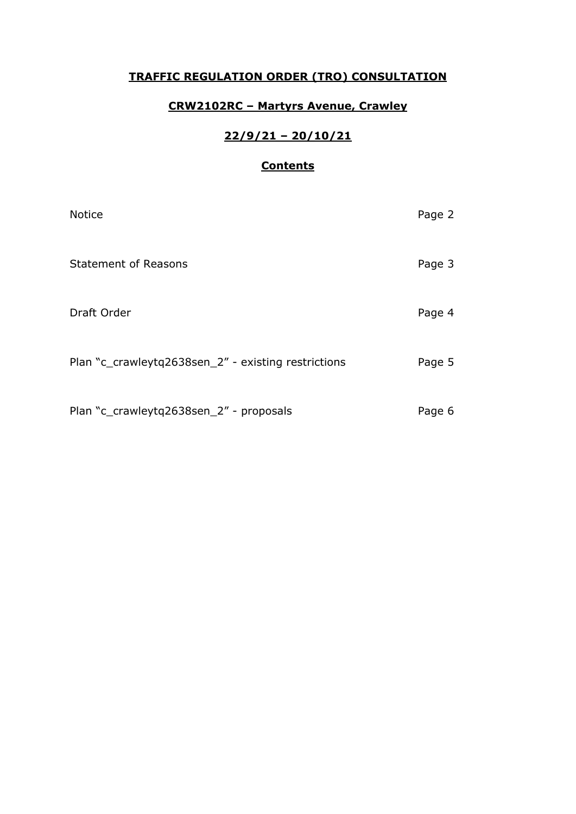## **TRAFFIC REGULATION ORDER (TRO) CONSULTATION**

# **CRW2102RC – Martyrs Avenue, Crawley**

# **22/9/21 – 20/10/21**

### **Contents**

| <b>Notice</b>                                       | Page 2 |
|-----------------------------------------------------|--------|
| <b>Statement of Reasons</b>                         | Page 3 |
| Draft Order                                         | Page 4 |
| Plan "c_crawleytq2638sen_2" - existing restrictions | Page 5 |
| Plan "c_crawleytq2638sen_2" - proposals             | Page 6 |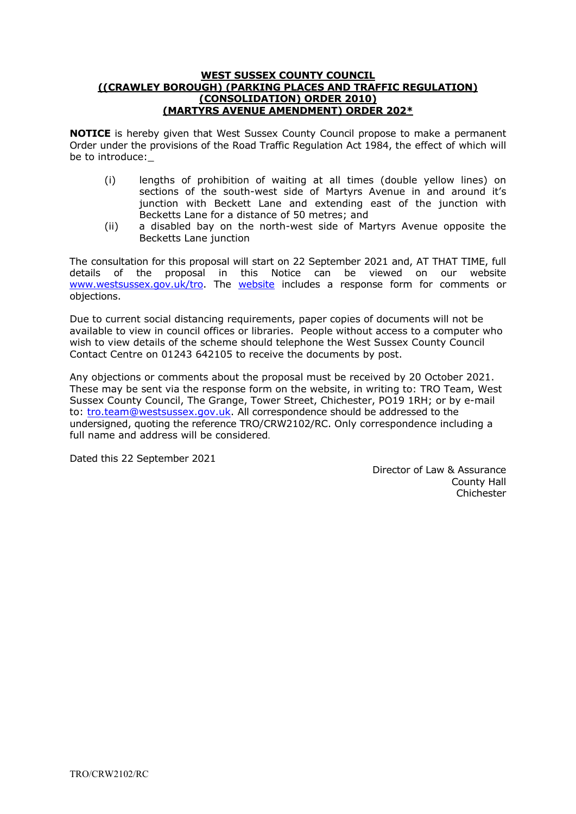#### **WEST SUSSEX COUNTY COUNCIL ((CRAWLEY BOROUGH) (PARKING PLACES AND TRAFFIC REGULATION) (CONSOLIDATION) ORDER 2010) (MARTYRS AVENUE AMENDMENT) ORDER 202\***

**NOTICE** is hereby given that West Sussex County Council propose to make a permanent Order under the provisions of the Road Traffic Regulation Act 1984, the effect of which will be to introduce:

- (i) lengths of prohibition of waiting at all times (double yellow lines) on sections of the south-west side of Martyrs Avenue in and around it's junction with Beckett Lane and extending east of the junction with Becketts Lane for a distance of 50 metres; and
- (ii) a disabled bay on the north-west side of Martyrs Avenue opposite the Becketts Lane junction

The consultation for this proposal will start on 22 September 2021 and, AT THAT TIME, full details of the proposal in this Notice can be viewed on our website [www.westsussex.gov.uk/tro.](http://www.westsussex.gov.uk/tro) The [website](https://www.westsussex.gov.uk/roads-and-travel/traffic-regulation-orders/) includes a response form for comments or objections.

Due to current social distancing requirements, paper copies of documents will not be available to view in council offices or libraries. People without access to a computer who wish to view details of the scheme should telephone the West Sussex County Council Contact Centre on 01243 642105 to receive the documents by post.

Any objections or comments about the proposal must be received by 20 October 2021. These may be sent via the response form on the website, in writing to: TRO Team, West Sussex County Council, The Grange, Tower Street, Chichester, PO19 1RH; or by e-mail to: [tro.team@westsussex.gov.uk.](mailto:tro.team@westsussex.gov.uk) All correspondence should be addressed to the undersigned, quoting the reference TRO/CRW2102/RC. Only correspondence including a full name and address will be considered.

Dated this 22 September 2021

 Director of Law & Assurance County Hall Chichester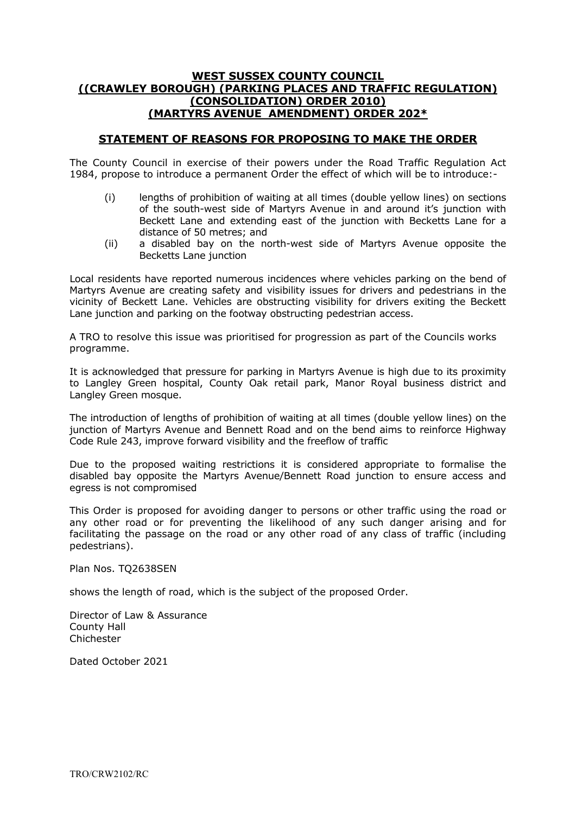### **WEST SUSSEX COUNTY COUNCIL ((CRAWLEY BOROUGH) (PARKING PLACES AND TRAFFIC REGULATION) (CONSOLIDATION) ORDER 2010) (MARTYRS AVENUE AMENDMENT) ORDER 202\***

### **STATEMENT OF REASONS FOR PROPOSING TO MAKE THE ORDER**

The County Council in exercise of their powers under the Road Traffic Regulation Act 1984, propose to introduce a permanent Order the effect of which will be to introduce:-

- (i) lengths of prohibition of waiting at all times (double yellow lines) on sections of the south-west side of Martyrs Avenue in and around it's junction with Beckett Lane and extending east of the junction with Becketts Lane for a distance of 50 metres; and
- (ii) a disabled bay on the north-west side of Martyrs Avenue opposite the Becketts Lane junction

Local residents have reported numerous incidences where vehicles parking on the bend of Martyrs Avenue are creating safety and visibility issues for drivers and pedestrians in the vicinity of Beckett Lane. Vehicles are obstructing visibility for drivers exiting the Beckett Lane junction and parking on the footway obstructing pedestrian access.

A TRO to resolve this issue was prioritised for progression as part of the Councils works programme.

It is acknowledged that pressure for parking in Martyrs Avenue is high due to its proximity to Langley Green hospital, County Oak retail park, Manor Royal business district and Langley Green mosque.

The introduction of lengths of prohibition of waiting at all times (double yellow lines) on the junction of Martyrs Avenue and Bennett Road and on the bend aims to reinforce Highway Code Rule 243, improve forward visibility and the freeflow of traffic

Due to the proposed waiting restrictions it is considered appropriate to formalise the disabled bay opposite the Martyrs Avenue/Bennett Road junction to ensure access and egress is not compromised

This Order is proposed for avoiding danger to persons or other traffic using the road or any other road or for preventing the likelihood of any such danger arising and for facilitating the passage on the road or any other road of any class of traffic (including pedestrians).

Plan Nos. TQ2638SEN

shows the length of road, which is the subject of the proposed Order.

Director of Law & Assurance County Hall Chichester

Dated October 2021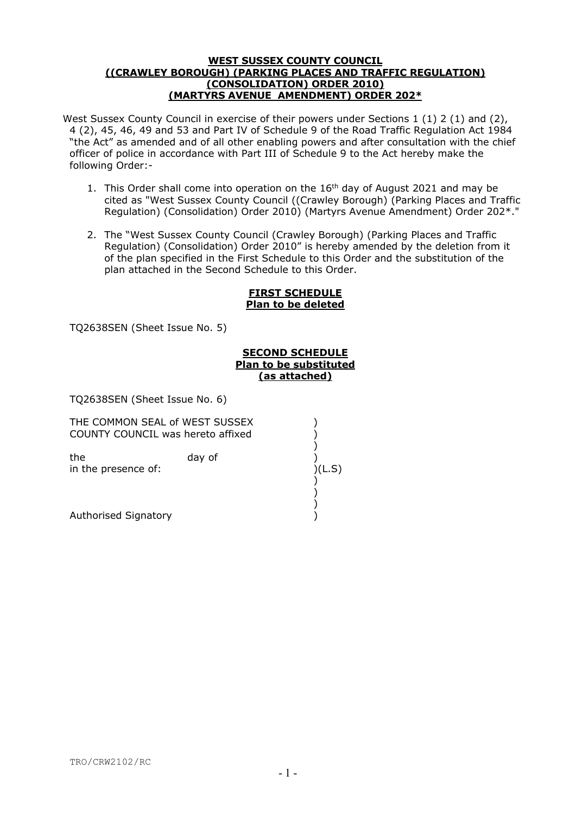#### **WEST SUSSEX COUNTY COUNCIL ((CRAWLEY BOROUGH) (PARKING PLACES AND TRAFFIC REGULATION) (CONSOLIDATION) ORDER 2010) (MARTYRS AVENUE AMENDMENT) ORDER 202\***

West Sussex County Council in exercise of their powers under Sections 1 (1) 2 (1) and (2), 4 (2), 45, 46, 49 and 53 and Part IV of Schedule 9 of the Road Traffic Regulation Act 1984 "the Act" as amended and of all other enabling powers and after consultation with the chief officer of police in accordance with Part III of Schedule 9 to the Act hereby make the following Order:-

- 1. This Order shall come into operation on the 16<sup>th</sup> day of August 2021 and may be cited as "West Sussex County Council ((Crawley Borough) (Parking Places and Traffic Regulation) (Consolidation) Order 2010) (Martyrs Avenue Amendment) Order 202\*."
- 2. The "West Sussex County Council (Crawley Borough) (Parking Places and Traffic Regulation) (Consolidation) Order 2010" is hereby amended by the deletion from it of the plan specified in the First Schedule to this Order and the substitution of the plan attached in the Second Schedule to this Order.

#### **FIRST SCHEDULE Plan to be deleted**

TQ2638SEN (Sheet Issue No. 5)

#### **SECOND SCHEDULE Plan to be substituted (as attached)**

TQ2638SEN (Sheet Issue No. 6)

COUNTY COUNCIL was hereto affixed ) the day of (a) in the presence of: )(L.S) ) ) Authorised Signatory ) THE COMMON SEAL of WEST SUSSEX ) )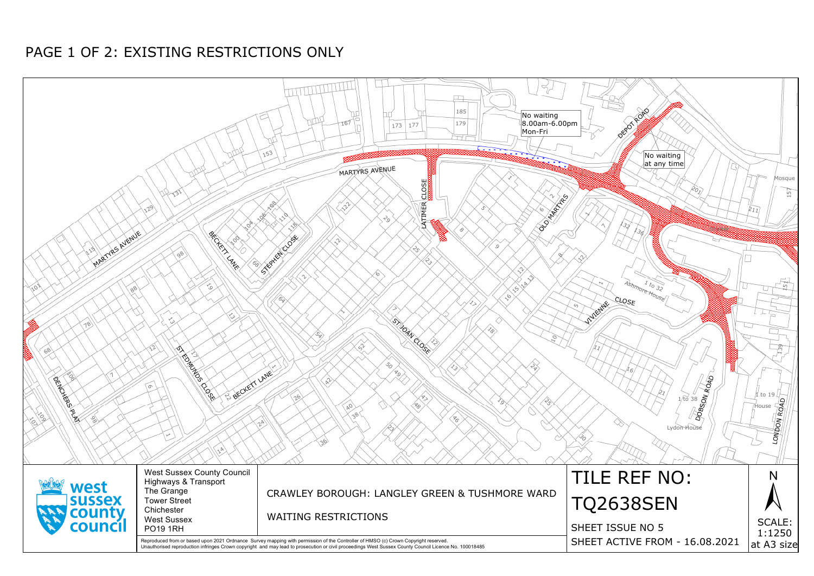

# PAGE 1 OF 2: EXISTING RESTRICTIONS ONLY